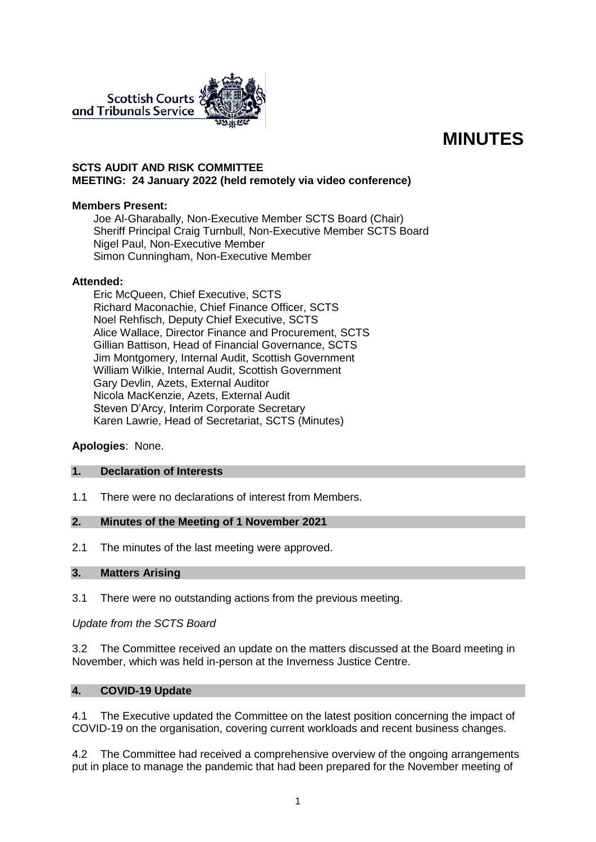

# **MINUTES**

## **SCTS AUDIT AND RISK COMMITTEE MEETING: 24 January 2022 (held remotely via video conference)**

## **Members Present:**

Joe Al-Gharabally, Non-Executive Member SCTS Board (Chair) Sheriff Principal Craig Turnbull, Non-Executive Member SCTS Board Nigel Paul, Non-Executive Member Simon Cunningham, Non-Executive Member

#### **Attended:**

Eric McQueen, Chief Executive, SCTS Richard Maconachie, Chief Finance Officer, SCTS Noel Rehfisch, Deputy Chief Executive, SCTS Alice Wallace, Director Finance and Procurement, SCTS Gillian Battison, Head of Financial Governance, SCTS Jim Montgomery, Internal Audit, Scottish Government William Wilkie, Internal Audit, Scottish Government Gary Devlin, Azets, External Auditor Nicola MacKenzie, Azets, External Audit Steven D'Arcy, Interim Corporate Secretary Karen Lawrie, Head of Secretariat, SCTS (Minutes)

## **Apologies**: None.

#### **1. Declaration of Interests**

1.1 There were no declarations of interest from Members.

#### **2. Minutes of the Meeting of 1 November 2021**

2.1 The minutes of the last meeting were approved.

#### **3. Matters Arising**

3.1 There were no outstanding actions from the previous meeting.

#### *Update from the SCTS Board*

3.2 The Committee received an update on the matters discussed at the Board meeting in November, which was held in-person at the Inverness Justice Centre.

## **4. COVID-19 Update**

4.1 The Executive updated the Committee on the latest position concerning the impact of COVID-19 on the organisation, covering current workloads and recent business changes.

4.2 The Committee had received a comprehensive overview of the ongoing arrangements put in place to manage the pandemic that had been prepared for the November meeting of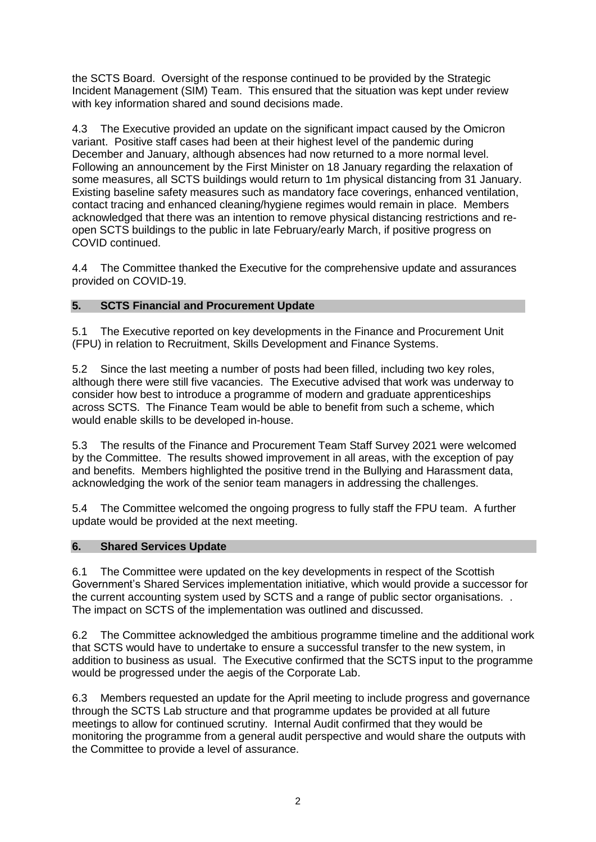the SCTS Board. Oversight of the response continued to be provided by the Strategic Incident Management (SIM) Team. This ensured that the situation was kept under review with key information shared and sound decisions made.

4.3 The Executive provided an update on the significant impact caused by the Omicron variant. Positive staff cases had been at their highest level of the pandemic during December and January, although absences had now returned to a more normal level. Following an announcement by the First Minister on 18 January regarding the relaxation of some measures, all SCTS buildings would return to 1m physical distancing from 31 January. Existing baseline safety measures such as mandatory face coverings, enhanced ventilation, contact tracing and enhanced cleaning/hygiene regimes would remain in place. Members acknowledged that there was an intention to remove physical distancing restrictions and reopen SCTS buildings to the public in late February/early March, if positive progress on COVID continued.

4.4 The Committee thanked the Executive for the comprehensive update and assurances provided on COVID-19.

# **5. SCTS Financial and Procurement Update**

5.1 The Executive reported on key developments in the Finance and Procurement Unit (FPU) in relation to Recruitment, Skills Development and Finance Systems.

5.2 Since the last meeting a number of posts had been filled, including two key roles, although there were still five vacancies. The Executive advised that work was underway to consider how best to introduce a programme of modern and graduate apprenticeships across SCTS. The Finance Team would be able to benefit from such a scheme, which would enable skills to be developed in-house.

5.3 The results of the Finance and Procurement Team Staff Survey 2021 were welcomed by the Committee. The results showed improvement in all areas, with the exception of pay and benefits. Members highlighted the positive trend in the Bullying and Harassment data, acknowledging the work of the senior team managers in addressing the challenges.

5.4 The Committee welcomed the ongoing progress to fully staff the FPU team. A further update would be provided at the next meeting.

## **6. Shared Services Update**

6.1 The Committee were updated on the key developments in respect of the Scottish Government's Shared Services implementation initiative, which would provide a successor for the current accounting system used by SCTS and a range of public sector organisations. . The impact on SCTS of the implementation was outlined and discussed.

6.2 The Committee acknowledged the ambitious programme timeline and the additional work that SCTS would have to undertake to ensure a successful transfer to the new system, in addition to business as usual. The Executive confirmed that the SCTS input to the programme would be progressed under the aegis of the Corporate Lab.

6.3 Members requested an update for the April meeting to include progress and governance through the SCTS Lab structure and that programme updates be provided at all future meetings to allow for continued scrutiny. Internal Audit confirmed that they would be monitoring the programme from a general audit perspective and would share the outputs with the Committee to provide a level of assurance.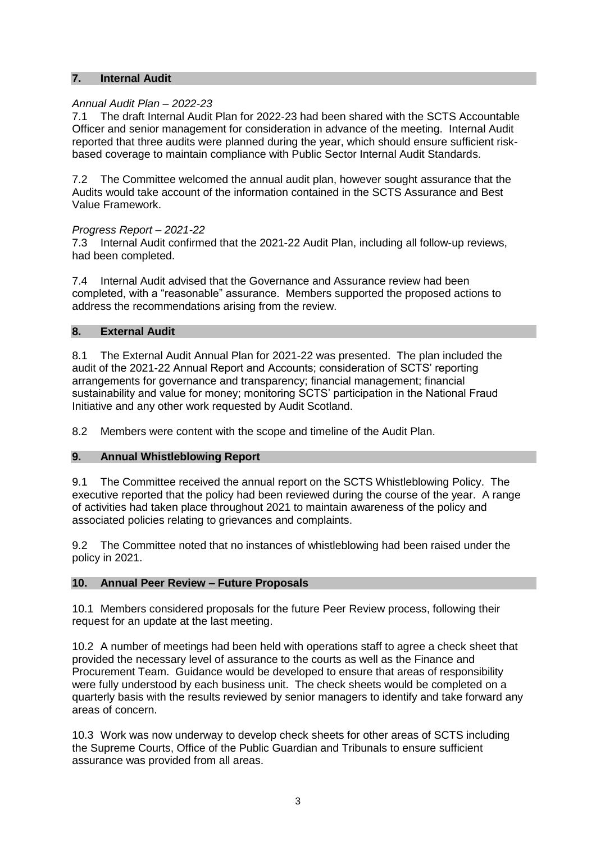## **7. Internal Audit**

#### *Annual Audit Plan – 2022-23*

7.1 The draft Internal Audit Plan for 2022-23 had been shared with the SCTS Accountable Officer and senior management for consideration in advance of the meeting. Internal Audit reported that three audits were planned during the year, which should ensure sufficient riskbased coverage to maintain compliance with Public Sector Internal Audit Standards.

7.2 The Committee welcomed the annual audit plan, however sought assurance that the Audits would take account of the information contained in the SCTS Assurance and Best Value Framework.

#### *Progress Report – 2021-22*

7.3 Internal Audit confirmed that the 2021-22 Audit Plan, including all follow-up reviews, had been completed.

7.4 Internal Audit advised that the Governance and Assurance review had been completed, with a "reasonable" assurance. Members supported the proposed actions to address the recommendations arising from the review.

#### **8. External Audit**

8.1 The External Audit Annual Plan for 2021-22 was presented. The plan included the audit of the 2021-22 Annual Report and Accounts; consideration of SCTS' reporting arrangements for governance and transparency; financial management; financial sustainability and value for money; monitoring SCTS' participation in the National Fraud Initiative and any other work requested by Audit Scotland.

8.2 Members were content with the scope and timeline of the Audit Plan.

#### **9. Annual Whistleblowing Report**

9.1 The Committee received the annual report on the SCTS Whistleblowing Policy. The executive reported that the policy had been reviewed during the course of the year. A range of activities had taken place throughout 2021 to maintain awareness of the policy and associated policies relating to grievances and complaints.

9.2 The Committee noted that no instances of whistleblowing had been raised under the policy in 2021.

#### **10. Annual Peer Review – Future Proposals**

10.1 Members considered proposals for the future Peer Review process, following their request for an update at the last meeting.

10.2 A number of meetings had been held with operations staff to agree a check sheet that provided the necessary level of assurance to the courts as well as the Finance and Procurement Team. Guidance would be developed to ensure that areas of responsibility were fully understood by each business unit. The check sheets would be completed on a quarterly basis with the results reviewed by senior managers to identify and take forward any areas of concern.

10.3 Work was now underway to develop check sheets for other areas of SCTS including the Supreme Courts, Office of the Public Guardian and Tribunals to ensure sufficient assurance was provided from all areas.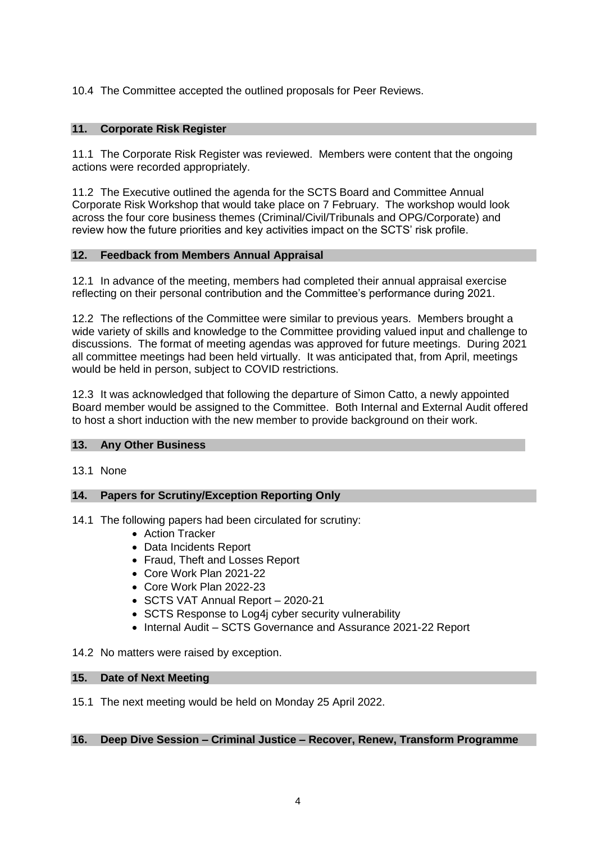# 10.4 The Committee accepted the outlined proposals for Peer Reviews.

# **11. Corporate Risk Register**

11.1 The Corporate Risk Register was reviewed. Members were content that the ongoing actions were recorded appropriately.

11.2 The Executive outlined the agenda for the SCTS Board and Committee Annual Corporate Risk Workshop that would take place on 7 February. The workshop would look across the four core business themes (Criminal/Civil/Tribunals and OPG/Corporate) and review how the future priorities and key activities impact on the SCTS' risk profile.

#### **12. Feedback from Members Annual Appraisal**

12.1 In advance of the meeting, members had completed their annual appraisal exercise reflecting on their personal contribution and the Committee's performance during 2021.

12.2 The reflections of the Committee were similar to previous years. Members brought a wide variety of skills and knowledge to the Committee providing valued input and challenge to discussions. The format of meeting agendas was approved for future meetings. During 2021 all committee meetings had been held virtually. It was anticipated that, from April, meetings would be held in person, subject to COVID restrictions.

12.3 It was acknowledged that following the departure of Simon Catto, a newly appointed Board member would be assigned to the Committee. Both Internal and External Audit offered to host a short induction with the new member to provide background on their work.

## **13. Any Other Business**

13.1 None

## **14. Papers for Scrutiny/Exception Reporting Only**

14.1 The following papers had been circulated for scrutiny:

- Action Tracker
- Data Incidents Report
- Fraud, Theft and Losses Report
- Core Work Plan 2021-22
- Core Work Plan 2022-23
- SCTS VAT Annual Report 2020-21
- SCTS Response to Log4i cyber security vulnerability
- Internal Audit SCTS Governance and Assurance 2021-22 Report

14.2 No matters were raised by exception.

#### **15. Date of Next Meeting**

15.1 The next meeting would be held on Monday 25 April 2022.

## **16. Deep Dive Session – Criminal Justice – Recover, Renew, Transform Programme**